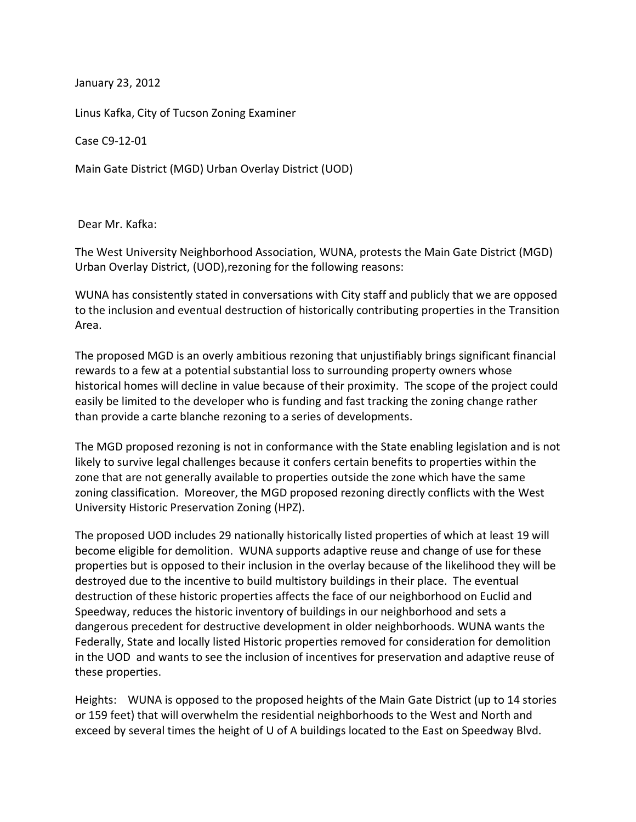January 23, 2012

Linus Kafka, City of Tucson Zoning Examiner

Case C9-12-01

Main Gate District (MGD) Urban Overlay District (UOD)

Dear Mr. Kafka:

The West University Neighborhood Association, WUNA, protests the Main Gate District (MGD) Urban Overlay District, (UOD), rezoning for the following reasons:

WUNA has consistently stated in conversations with City staff and publicly that we are opposed to the inclusion and eventual destruction of historically contributing properties in the Transition Area.

The proposed MGD is an overly ambitious rezoning that unjustifiably brings significant financial rewards to a few at a potential substantial loss to surrounding property owners whose historical homes will decline in value because of their proximity. The scope of the project could easily be limited to the developer who is funding and fast tracking the zoning change rather than provide a carte blanche rezoning to a series of developments.

The MGD proposed rezoning is not in conformance with the State enabling legislation and is not likely to survive legal challenges because it confers certain benefits to properties within the zone that are not generally available to properties outside the zone which have the same zoning classification.' Moreover, the MGD proposed rezoning directly conflicts with the West University Historic Preservation Zoning (HPZ).

The proposed UOD includes 29 nationally historically listed properties of which at least 19 will become eligible for demolition. WUNA supports adaptive reuse and change of use for these properties but is opposed to their inclusion in the overlay because of the likelihood they will be destroyed due to the incentive to build multistory buildings in their place. The eventual destruction of these historic properties affects the face of our neighborhood on Euclid and Speedway, reduces the historic inventory of buildings in our neighborhood and sets a dangerous precedent for destructive development in older neighborhoods. WUNA wants the Federally, State and locally listed Historic properties removed for consideration for demolition in the UOD and wants to see the inclusion of incentives for preservation and adaptive reuse of these properties.

Heights: WUNA is opposed to the proposed heights of the Main Gate District (up to 14 stories or 159 feet) that will overwhelm the residential neighborhoods to the West and North and exceed by several times the height of U of A buildings located to the East on Speedway Blvd.